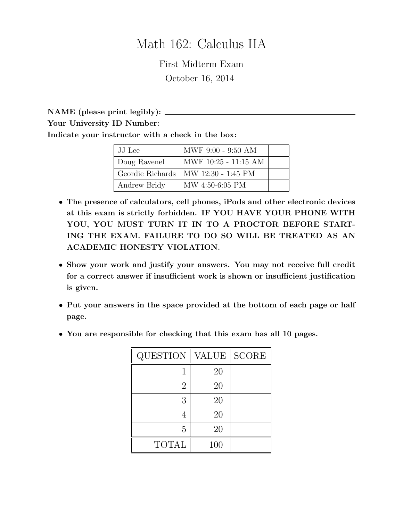# Math 162: Calculus IIA

First Midterm Exam October 16, 2014

NAME (please print legibly): Your University ID Number: Indicate your instructor with a check in the box:

| JJ Lee       | MWF 9:00 - 9:50 AM                  |  |
|--------------|-------------------------------------|--|
| Doug Ravenel | MWF 10:25 - 11:15 AM                |  |
|              | Geordie Richards MW 12:30 - 1:45 PM |  |
| Andrew Bridy | MW 4:50-6:05 PM                     |  |

- The presence of calculators, cell phones, iPods and other electronic devices at this exam is strictly forbidden. IF YOU HAVE YOUR PHONE WITH YOU, YOU MUST TURN IT IN TO A PROCTOR BEFORE START-ING THE EXAM. FAILURE TO DO SO WILL BE TREATED AS AN ACADEMIC HONESTY VIOLATION.
- Show your work and justify your answers. You may not receive full credit for a correct answer if insufficient work is shown or insufficient justification is given.
- Put your answers in the space provided at the bottom of each page or half page.
- You are responsible for checking that this exam has all 10 pages.

| <b>QUESTION</b> | VALUE | <b>SCORE</b> |
|-----------------|-------|--------------|
|                 | 20    |              |
| 2               | 20    |              |
| 3               | 20    |              |
|                 | 20    |              |
| 5               | 20    |              |
| <b>TOTAL</b>    | 100   |              |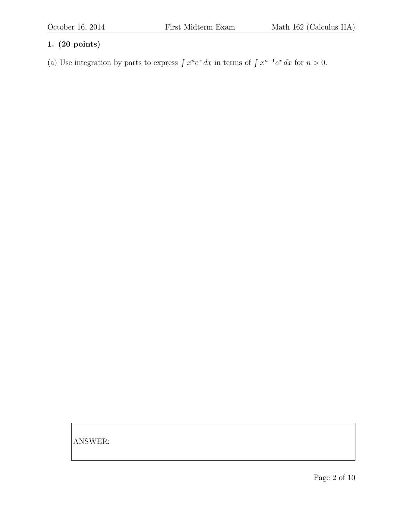(a) Use integration by parts to express  $\int x^n e^x dx$  in terms of  $\int x^{n-1}e^x dx$  for  $n > 0$ .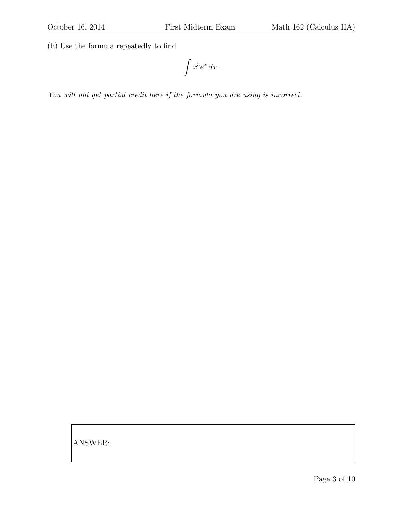(b) Use the formula repeatedly to find

$$
\int x^3 e^x \, dx.
$$

You will not get partial credit here if the formula you are using is incorrect.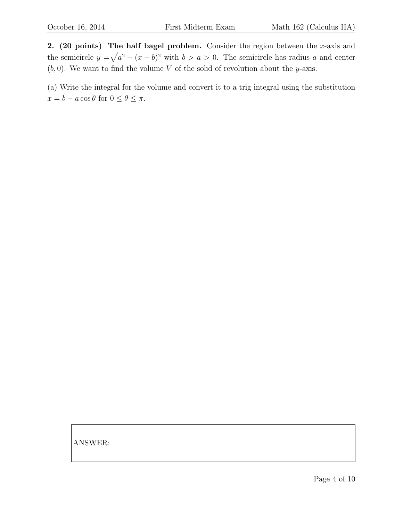2. (20 points) The half bagel problem. Consider the region between the x-axis and the semicircle  $y = \sqrt{a^2 - (x - b)^2}$  with  $b > a > 0$ . The semicircle has radius a and center  $(b, 0)$ . We want to find the volume V of the solid of revolution about the y-axis.

(a) Write the integral for the volume and convert it to a trig integral using the substitution  $x = b - a \cos \theta$  for  $0 \le \theta \le \pi$ .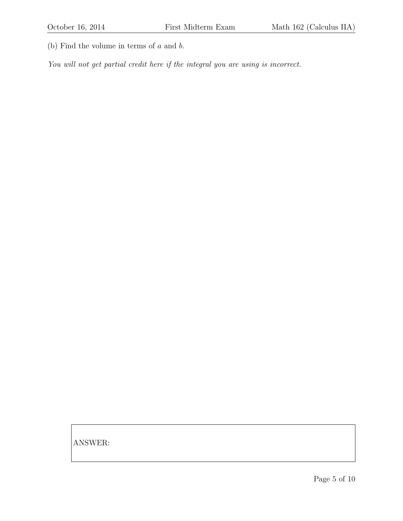(b) Find the volume in terms of  $a$  and  $b$ .

You will not get partial credit here if the integral you are using is incorrect.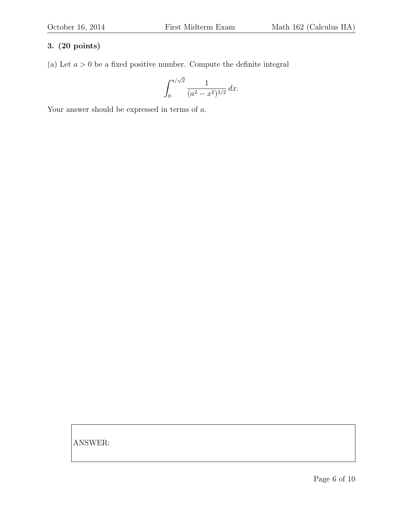(a) Let  $a > 0$  be a fixed positive number. Compute the definite integral

$$
\int_0^{a/\sqrt{2}} \frac{1}{(a^2 - x^2)^{3/2}} dx.
$$

Your answer should be expressed in terms of  $a$ .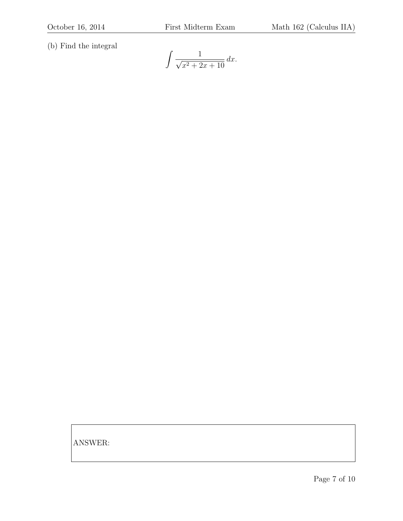(b) Find the integral

$$
\int \frac{1}{\sqrt{x^2 + 2x + 10}} \, dx.
$$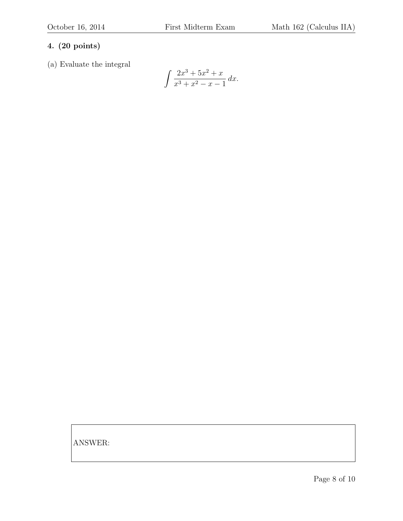(a) Evaluate the integral

$$
\int \frac{2x^3 + 5x^2 + x}{x^3 + x^2 - x - 1} \, dx.
$$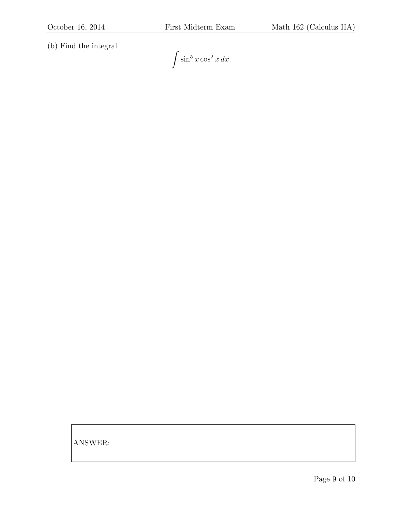(b) Find the integral

 $\int \sin^5 x \cos^2 x \, dx.$